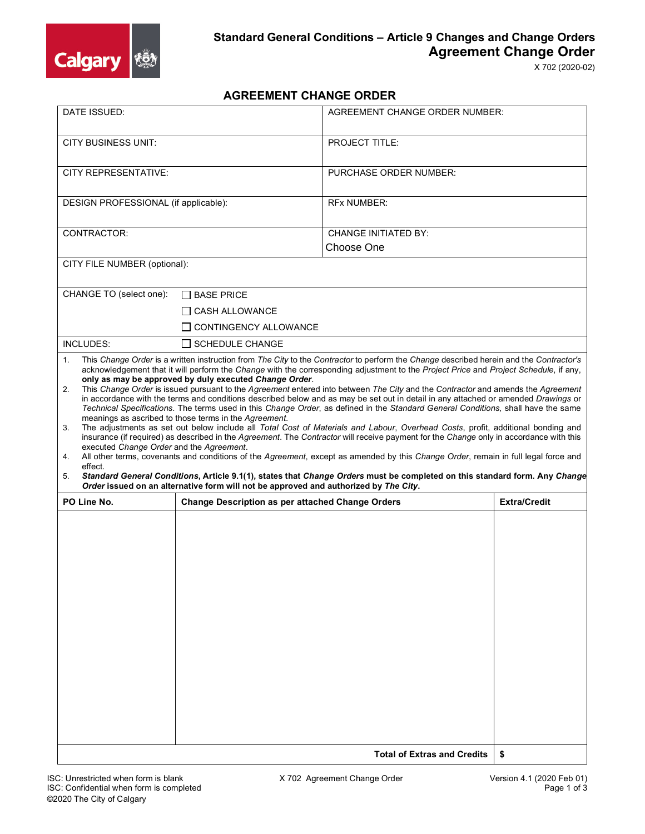

## **AGREEMENT CHANGE ORDER**

| DATE ISSUED:                                                                                                                                                                                                                                                                                                                                                                                                                                                                                                                                                                                                                                                                                                                                                                                                                                                                                                                                                                                                                                                                                                                                                                                                                                                                                                                                                                                  |                                                                         | <b>AGREEMENT CHANGE ORDER NUMBER:</b>     |                     |  |  |
|-----------------------------------------------------------------------------------------------------------------------------------------------------------------------------------------------------------------------------------------------------------------------------------------------------------------------------------------------------------------------------------------------------------------------------------------------------------------------------------------------------------------------------------------------------------------------------------------------------------------------------------------------------------------------------------------------------------------------------------------------------------------------------------------------------------------------------------------------------------------------------------------------------------------------------------------------------------------------------------------------------------------------------------------------------------------------------------------------------------------------------------------------------------------------------------------------------------------------------------------------------------------------------------------------------------------------------------------------------------------------------------------------|-------------------------------------------------------------------------|-------------------------------------------|---------------------|--|--|
| <b>CITY BUSINESS UNIT:</b>                                                                                                                                                                                                                                                                                                                                                                                                                                                                                                                                                                                                                                                                                                                                                                                                                                                                                                                                                                                                                                                                                                                                                                                                                                                                                                                                                                    |                                                                         | <b>PROJECT TITLE:</b>                     |                     |  |  |
| <b>CITY REPRESENTATIVE:</b>                                                                                                                                                                                                                                                                                                                                                                                                                                                                                                                                                                                                                                                                                                                                                                                                                                                                                                                                                                                                                                                                                                                                                                                                                                                                                                                                                                   |                                                                         | <b>PURCHASE ORDER NUMBER:</b>             |                     |  |  |
| DESIGN PROFESSIONAL (if applicable):                                                                                                                                                                                                                                                                                                                                                                                                                                                                                                                                                                                                                                                                                                                                                                                                                                                                                                                                                                                                                                                                                                                                                                                                                                                                                                                                                          |                                                                         | <b>RFx NUMBER:</b>                        |                     |  |  |
| CONTRACTOR:                                                                                                                                                                                                                                                                                                                                                                                                                                                                                                                                                                                                                                                                                                                                                                                                                                                                                                                                                                                                                                                                                                                                                                                                                                                                                                                                                                                   |                                                                         | <b>CHANGE INITIATED BY:</b><br>Choose One |                     |  |  |
| CITY FILE NUMBER (optional):                                                                                                                                                                                                                                                                                                                                                                                                                                                                                                                                                                                                                                                                                                                                                                                                                                                                                                                                                                                                                                                                                                                                                                                                                                                                                                                                                                  |                                                                         |                                           |                     |  |  |
| CHANGE TO (select one):                                                                                                                                                                                                                                                                                                                                                                                                                                                                                                                                                                                                                                                                                                                                                                                                                                                                                                                                                                                                                                                                                                                                                                                                                                                                                                                                                                       | $\Box$ BASE PRICE<br>∐ CASH ALLOWANCE<br>$\sqcap$ CONTINGENCY ALLOWANCE |                                           |                     |  |  |
| INCLUDES:                                                                                                                                                                                                                                                                                                                                                                                                                                                                                                                                                                                                                                                                                                                                                                                                                                                                                                                                                                                                                                                                                                                                                                                                                                                                                                                                                                                     | $\Box$ SCHEDULE CHANGE                                                  |                                           |                     |  |  |
| acknowledgement that it will perform the Change with the corresponding adjustment to the Project Price and Project Schedule, if any,<br>only as may be approved by duly executed Change Order.<br>This Change Order is issued pursuant to the Agreement entered into between The City and the Contractor and amends the Agreement<br>2.<br>in accordance with the terms and conditions described below and as may be set out in detail in any attached or amended Drawings or<br>Technical Specifications. The terms used in this Change Order, as defined in the Standard General Conditions, shall have the same<br>meanings as ascribed to those terms in the Agreement.<br>The adjustments as set out below include all Total Cost of Materials and Labour, Overhead Costs, profit, additional bonding and<br>3.<br>insurance (if required) as described in the Agreement. The Contractor will receive payment for the Change only in accordance with this<br>executed Change Order and the Agreement.<br>All other terms, covenants and conditions of the Agreement, except as amended by this Change Order, remain in full legal force and<br>4.<br>effect.<br>Standard General Conditions, Article 9.1(1), states that Change Orders must be completed on this standard form. Any Change<br>5.<br>Order issued on an alternative form will not be approved and authorized by The City. |                                                                         |                                           |                     |  |  |
| PO Line No.                                                                                                                                                                                                                                                                                                                                                                                                                                                                                                                                                                                                                                                                                                                                                                                                                                                                                                                                                                                                                                                                                                                                                                                                                                                                                                                                                                                   | <b>Change Description as per attached Change Orders</b>                 |                                           | <b>Extra/Credit</b> |  |  |
|                                                                                                                                                                                                                                                                                                                                                                                                                                                                                                                                                                                                                                                                                                                                                                                                                                                                                                                                                                                                                                                                                                                                                                                                                                                                                                                                                                                               |                                                                         |                                           |                     |  |  |
|                                                                                                                                                                                                                                                                                                                                                                                                                                                                                                                                                                                                                                                                                                                                                                                                                                                                                                                                                                                                                                                                                                                                                                                                                                                                                                                                                                                               | \$                                                                      |                                           |                     |  |  |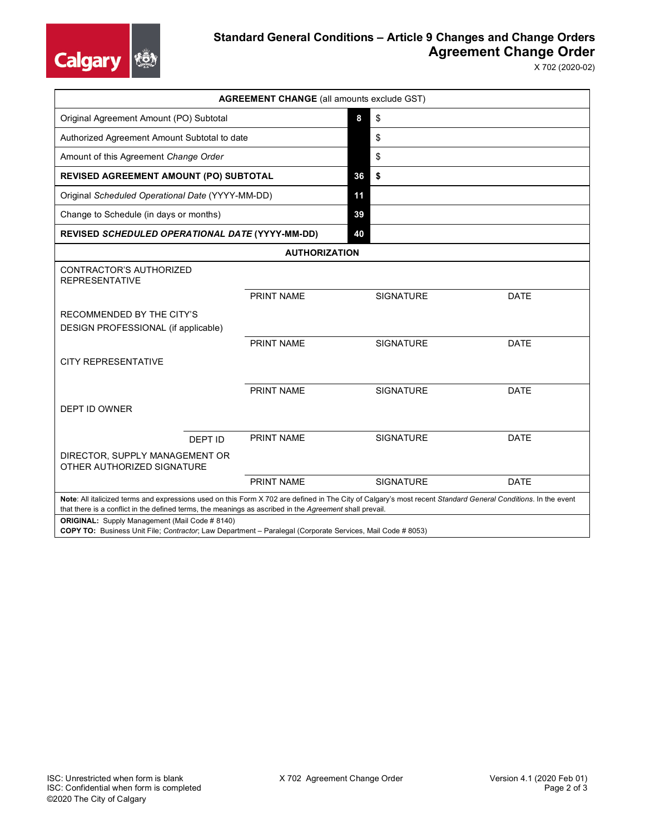

## **Standard General Conditions – Article 9 Changes and Change Orders Agreement Change Order**

X 702 (2020-02)

| <b>AGREEMENT CHANGE (all amounts exclude GST)</b>                                                                                                                                                                                                                        |            |    |                  |             |  |  |  |
|--------------------------------------------------------------------------------------------------------------------------------------------------------------------------------------------------------------------------------------------------------------------------|------------|----|------------------|-------------|--|--|--|
| Original Agreement Amount (PO) Subtotal                                                                                                                                                                                                                                  |            |    | \$               |             |  |  |  |
| Authorized Agreement Amount Subtotal to date                                                                                                                                                                                                                             |            |    | \$               |             |  |  |  |
| Amount of this Agreement Change Order                                                                                                                                                                                                                                    |            |    | \$               |             |  |  |  |
| REVISED AGREEMENT AMOUNT (PO) SUBTOTAL                                                                                                                                                                                                                                   |            |    | \$               |             |  |  |  |
| Original Scheduled Operational Date (YYYY-MM-DD)                                                                                                                                                                                                                         |            |    |                  |             |  |  |  |
| Change to Schedule (in days or months)                                                                                                                                                                                                                                   |            |    |                  |             |  |  |  |
| REVISED SCHEDULED OPERATIONAL DATE (YYYY-MM-DD)                                                                                                                                                                                                                          |            | 40 |                  |             |  |  |  |
| <b>AUTHORIZATION</b>                                                                                                                                                                                                                                                     |            |    |                  |             |  |  |  |
| CONTRACTOR'S AUTHORIZED<br><b>REPRESENTATIVE</b>                                                                                                                                                                                                                         |            |    |                  |             |  |  |  |
|                                                                                                                                                                                                                                                                          | PRINT NAME |    | <b>SIGNATURE</b> | <b>DATE</b> |  |  |  |
| RECOMMENDED BY THE CITY'S<br>DESIGN PROFESSIONAL (if applicable)                                                                                                                                                                                                         |            |    |                  |             |  |  |  |
|                                                                                                                                                                                                                                                                          | PRINT NAME |    | <b>SIGNATURE</b> | <b>DATE</b> |  |  |  |
| <b>CITY REPRESENTATIVE</b>                                                                                                                                                                                                                                               |            |    |                  |             |  |  |  |
|                                                                                                                                                                                                                                                                          | PRINT NAME |    | <b>SIGNATURE</b> | <b>DATE</b> |  |  |  |
| <b>DEPT ID OWNER</b>                                                                                                                                                                                                                                                     |            |    |                  |             |  |  |  |
| DEPT ID                                                                                                                                                                                                                                                                  | PRINT NAME |    | <b>SIGNATURE</b> | <b>DATE</b> |  |  |  |
| DIRECTOR, SUPPLY MANAGEMENT OR<br>OTHER AUTHORIZED SIGNATURE                                                                                                                                                                                                             |            |    |                  |             |  |  |  |
|                                                                                                                                                                                                                                                                          | PRINT NAME |    | <b>SIGNATURE</b> | <b>DATE</b> |  |  |  |
| Note: All italicized terms and expressions used on this Form X 702 are defined in The City of Calgary's most recent Standard General Conditions. In the event<br>that there is a conflict in the defined terms, the meanings as ascribed in the Agreement shall prevail. |            |    |                  |             |  |  |  |
| <b>ORIGINAL:</b> Supply Management (Mail Code # 8140)                                                                                                                                                                                                                    |            |    |                  |             |  |  |  |

**COPY TO:** Business Unit File; *Contractor*; Law Department – Paralegal (Corporate Services, Mail Code # 8053)